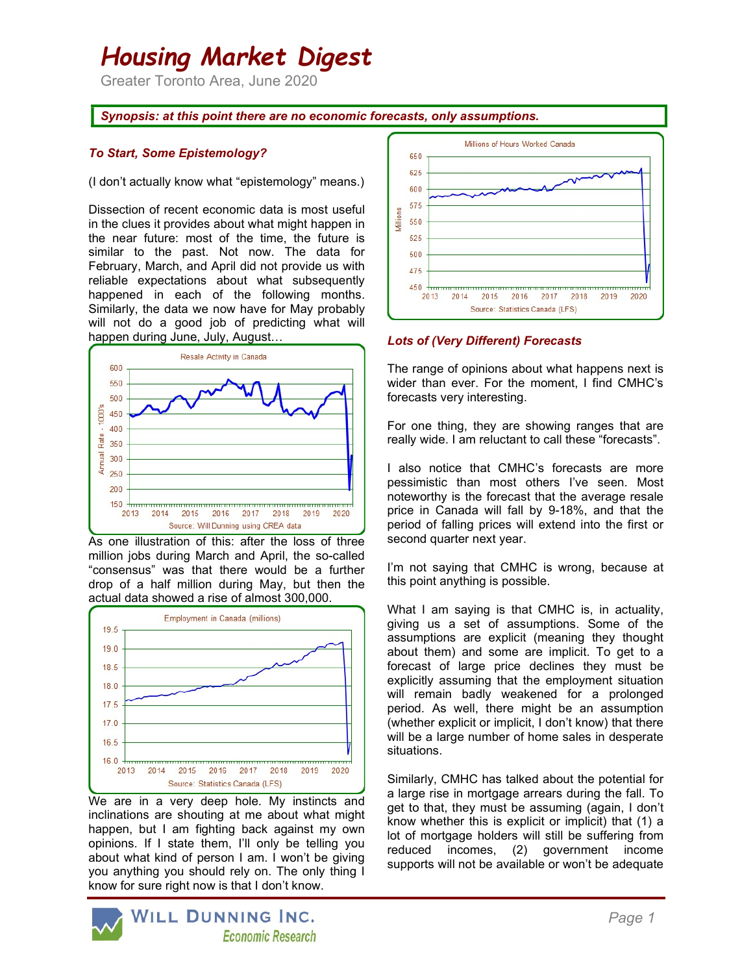# Housing Market Digest

Greater Toronto Area, June 2020

## Synopsis: at this point there are no economic forecasts, only assumptions.

## To Start, Some Epistemology?

#### (I don't actually know what "epistemology" means.)

Dissection of recent economic data is most useful in the clues it provides about what might happen in the near future: most of the time, the future is similar to the past. Not now. The data for February, March, and April did not provide us with reliable expectations about what subsequently happened in each of the following months. Similarly, the data we now have for May probably will not do a good job of predicting what will happen during June, July, August…



As one illustration of this: after the loss of three million jobs during March and April, the so-called "consensus" was that there would be a further drop of a half million during May, but then the actual data showed a rise of almost 300,000.



We are in a very deep hole. My instincts and inclinations are shouting at me about what might happen, but I am fighting back against my own opinions. If I state them, I'll only be telling you about what kind of person I am. I won't be giving you anything you should rely on. The only thing I know for sure right now is that I don't know.



Lots of (Very Different) Forecasts

The range of opinions about what happens next is wider than ever. For the moment, I find CMHC's forecasts very interesting.

For one thing, they are showing ranges that are really wide. I am reluctant to call these "forecasts".

I also notice that CMHC's forecasts are more pessimistic than most others I've seen. Most noteworthy is the forecast that the average resale price in Canada will fall by 9-18%, and that the period of falling prices will extend into the first or second quarter next year.

I'm not saying that CMHC is wrong, because at this point anything is possible.

What I am saying is that CMHC is, in actuality, giving us a set of assumptions. Some of the assumptions are explicit (meaning they thought about them) and some are implicit. To get to a forecast of large price declines they must be explicitly assuming that the employment situation will remain badly weakened for a prolonged period. As well, there might be an assumption (whether explicit or implicit, I don't know) that there will be a large number of home sales in desperate situations.

Similarly, CMHC has talked about the potential for a large rise in mortgage arrears during the fall. To get to that, they must be assuming (again, I don't know whether this is explicit or implicit) that (1) a lot of mortgage holders will still be suffering from reduced incomes, (2) government income supports will not be available or won't be adequate